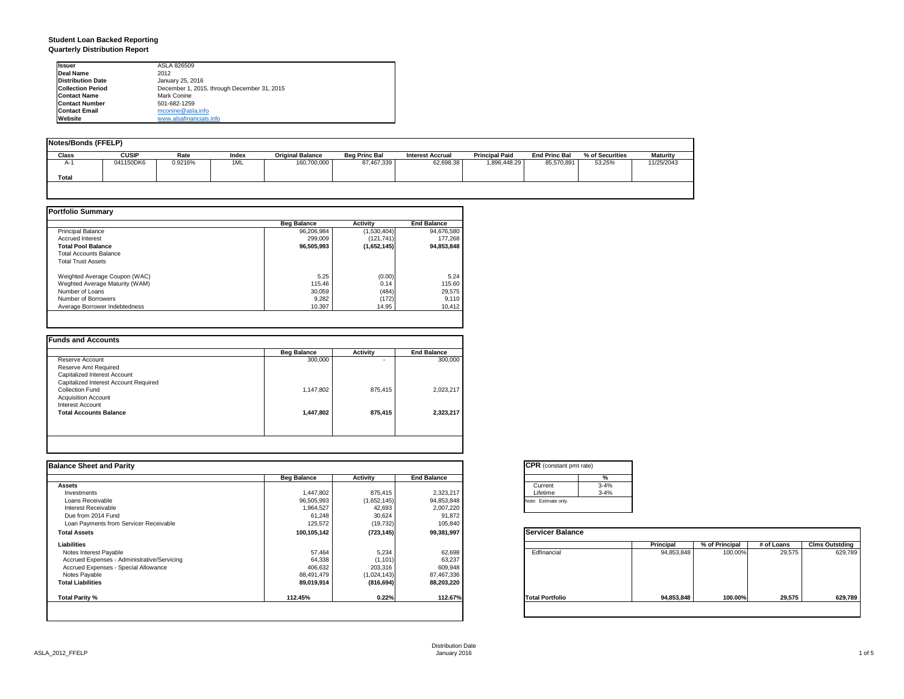#### **Student Loan Backed Reporting Quarterly Distribution Report**

| <b>Issuer</b>            | ASLA 826509                                 |  |
|--------------------------|---------------------------------------------|--|
| Deal Name                | 2012                                        |  |
| <b>Distribution Date</b> | January 25, 2016                            |  |
| <b>Collection Period</b> | December 1, 2015, through December 31, 2015 |  |
| <b>Contact Name</b>      | Mark Conine                                 |  |
| <b>Contact Number</b>    | 501-682-1259                                |  |
| <b>Contact Email</b>     | mconine@asla.info                           |  |
| Website                  | www.alsafinancials.info                     |  |

| <b>Notes/Bonds (FFELP)</b> |              |         |       |                         |                      |                         |                       |                      |                 |                 |
|----------------------------|--------------|---------|-------|-------------------------|----------------------|-------------------------|-----------------------|----------------------|-----------------|-----------------|
| Class                      | <b>CUSIP</b> | Rate    | Index | <b>Original Balance</b> | <b>Beg Princ Bal</b> | <b>Interest Accrual</b> | <b>Principal Paid</b> | <b>End Princ Bal</b> | % of Securities | <b>Maturity</b> |
| $A-1$                      | 041150DK6    | 0.9216% | 1ML   | 160,700,000             | 87,467,339           | 62.698.38               | 1,896,448.29          | 85.570.891           | 53.25%          | 11/25/2043      |
| <b>Total</b>               |              |         |       |                         |                      |                         |                       |                      |                 |                 |
|                            |              |         |       |                         |                      |                         |                       |                      |                 |                 |

|                                | <b>Beg Balance</b> | <b>Activity</b> | <b>End Balance</b> |
|--------------------------------|--------------------|-----------------|--------------------|
| <b>Principal Balance</b>       | 96.206.984         | (1,530,404)     | 94,676,580         |
| <b>Accrued Interest</b>        | 299.009            | (121, 741)      | 177.268            |
| <b>Total Pool Balance</b>      | 96,505,993         | (1,652,145)     | 94,853,848         |
| <b>Total Accounts Balance</b>  |                    |                 |                    |
| <b>Total Trust Assets</b>      |                    |                 |                    |
| Weighted Average Coupon (WAC)  | 5.25               | (0.00)          | 5.24               |
| Weghted Average Maturity (WAM) | 115.46             | 0.14            | 115.60             |
| Number of Loans                | 30.059             | (484)           | 29,575             |
| Number of Borrowers            | 9,282              | (172)           | 9,110              |
| Average Borrower Indebtedness  | 10.397             | 14.95           | 10,412             |

|           | Activity | <b>End Balance</b> |
|-----------|----------|--------------------|
| 300,000   |          | 300,000            |
|           |          |                    |
|           |          |                    |
|           |          |                    |
| 1,147,802 | 875,415  | 2,023,217          |
|           |          |                    |
|           |          |                    |
| 1,447,802 | 875,415  | 2,323,217          |
|           |          |                    |
|           |          |                    |
|           |          |                    |

| <b>Balance Sheet and Parity</b>             |                    |             |                    | <b>CPR</b> (constant pmt rate) |            |                |            |                       |
|---------------------------------------------|--------------------|-------------|--------------------|--------------------------------|------------|----------------|------------|-----------------------|
|                                             | <b>Beg Balance</b> | Activity    | <b>End Balance</b> | $\frac{9}{6}$                  |            |                |            |                       |
| <b>Assets</b>                               |                    |             |                    | $3 - 4%$<br>Current            |            |                |            |                       |
| Investments                                 | 1,447,802          | 875,415     | 2,323,217          | Lifetime<br>$3 - 4%$           |            |                |            |                       |
| Loans Receivable                            | 96,505,993         | (1,652,145) | 94,853,848         | Note: Estimate only.           |            |                |            |                       |
| Interest Receivable                         | 1,964,527          | 42,693      | 2,007,220          |                                |            |                |            |                       |
| Due from 2014 Fund                          | 61,248             | 30,624      | 91,872             |                                |            |                |            |                       |
| Loan Payments from Servicer Receivable      | 125,572            | (19, 732)   | 105,840            |                                |            |                |            |                       |
| <b>Total Assets</b>                         | 100,105,142        | (723, 145)  | 99,381,997         | <b>Servicer Balance</b>        |            |                |            |                       |
| Liabilities                                 |                    |             |                    |                                | Principal  | % of Principal | # of Loans | <b>Clms Outstding</b> |
| Notes Interest Payable                      | 57,464             | 5,234       | 62,698             | Edfinancial                    | 94,853,848 | 100.00%        | 29,575     | 629,789               |
| Accrued Expenses - Administrative/Servicing | 64,338             | (1, 101)    | 63,237             |                                |            |                |            |                       |
| Accrued Expenses - Special Allowance        | 406,632            | 203,316     | 609,948            |                                |            |                |            |                       |
| Notes Payable                               | 88,491,479         | (1,024,143) | 87,467,336         |                                |            |                |            |                       |
| <b>Total Liabilities</b>                    | 89,019,914         | (816, 694)  | 88,203,220         |                                |            |                |            |                       |
| Total Parity %                              | 112.45%            | 0.22%       | 112.67%            | <b>Total Portfolio</b>         | 94,853,848 | 100.00%        | 29,575     | 629,789               |
|                                             |                    |             |                    |                                |            |                |            |                       |

| <b>CPR</b> (constant pmt rate) |          |  |  |  |  |  |
|--------------------------------|----------|--|--|--|--|--|
|                                | %        |  |  |  |  |  |
| Current                        | $3 - 4%$ |  |  |  |  |  |
| Lifetime                       | $3 - 4%$ |  |  |  |  |  |
| Note: Estimate only.           |          |  |  |  |  |  |

|                        | Principal  | % of Principal | # of Loans | <b>Clms Outstding</b> |
|------------------------|------------|----------------|------------|-----------------------|
| Edfinancial            | 94,853,848 | 100.00%        | 29,575     | 629,789               |
| <b>Total Portfolio</b> | 94,853,848 | 100.00%        | 29,575     | 629,789               |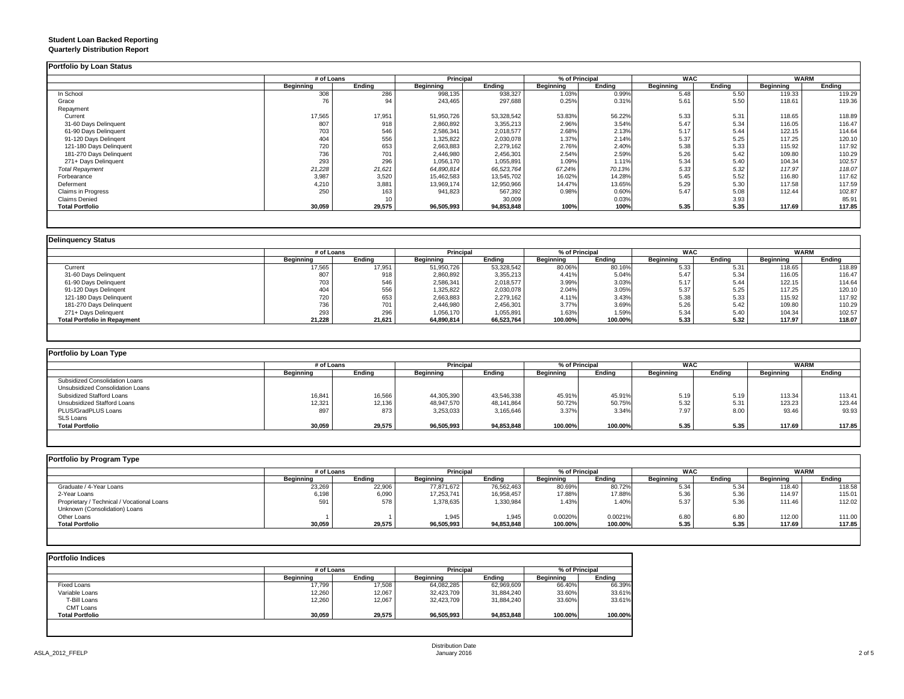## **Student Loan Backed Reporting**

|  | <b>Quarterly Distribution Report</b> |  |
|--|--------------------------------------|--|
|--|--------------------------------------|--|

|                         | # of Loans |        | <b>Principal</b> |            | % of Principal   |        | <b>WAC</b>       |        | <b>WARM</b> |        |
|-------------------------|------------|--------|------------------|------------|------------------|--------|------------------|--------|-------------|--------|
|                         | Beginning  | Ending | <b>Beginning</b> | Ending     | <b>Beginning</b> | Ending | <b>Beginning</b> | Ending | Beginning   | Ending |
| In School               | 308        | 286    | 998,135          | 938,327    | 1.03%            | 0.99%  | 5.48             | 5.50   | 119.33      | 119.29 |
| Grace                   | 76         | 94     | 243,465          | 297,688    | 0.25%            | 0.31%  | 5.61             | 5.50   | 118.61      | 119.36 |
| Repayment               |            |        |                  |            |                  |        |                  |        |             |        |
| Current                 | 17,565     | 17,951 | 51,950,726       | 53,328,542 | 53.83%           | 56.22% | 5.33             | 5.31   | 118.65      | 118.89 |
| 31-60 Days Delinquent   | 807        | 918    | 2,860,892        | 3,355,213  | 2.96%            | 3.54%  | 5.47             | 5.34   | 116.05      | 116.47 |
| 61-90 Days Delinquent   | 703        | 546    | 2,586,341        | 2,018,577  | 2.68%            | 2.13%  | 5.17             | 5.44   | 122.15      | 114.64 |
| 91-120 Days Delingent   | 404        | 556    | 325,822          | 2,030,078  | 1.37%            | 2.14%  | 5.37             | 5.25   | 117.25      | 120.10 |
| 121-180 Days Delinquent | 720        | 653    | 2,663,883        | 2,279,162  | 2.76%            | 2.40%  | 5.38             | 5.33   | 115.92      | 117.92 |
| 181-270 Days Delinquent | 736        | 701    | 2,446,980        | 2,456,301  | 2.54%            | 2.59%  | 5.26             | 5.42   | 109.80      | 110.29 |
| 271+ Days Delinquent    | 293        | 296    | 1,056,170        | 1,055,891  | 1.09%            | 1.11%  | 5.34             | 5.40   | 104.34      | 102.57 |
| <b>Total Repayment</b>  | 21,228     | 21,621 | 64,890,814       | 66,523,764 | 67.24%           | 70.13% | 5.33             | 5.32   | 117.97      | 118.07 |
| Forbearance             | 3,987      | 3,520  | 15,462,583       | 13,545,702 | 16.02%           | 14.28% | 5.45             | 5.52   | 116.80      | 117.62 |
| Deferment               | 4,210      | 3,881  | 13,969,174       | 12,950,966 | 14.47%           | 13.65% | 5.29             | 5.30   | 117.58      | 117.59 |
| Claims in Progress      | 250        | 163    | 941,823          | 567,392    | 0.98%            | 0.60%  | 5.47             | 5.08   | 112.44      | 102.87 |
| <b>Claims Denied</b>    |            |        |                  | 30,009     |                  | 0.03%  |                  | 3.93   |             | 85.91  |
| <b>Total Portfolio</b>  | 30,059     | 29,575 | 96,505,993       | 94,853,848 | 100%             | 100%   | 5.35             | 5.35   | 117.69      | 117.85 |

|                                     |           | # of Loans |            | <b>Principal</b> |                  | % of Principal |                  |        | <b>WARM</b> |        |
|-------------------------------------|-----------|------------|------------|------------------|------------------|----------------|------------------|--------|-------------|--------|
|                                     | Beainnina | Ending     | Beainnina  | Endina           | <b>Beginning</b> | Endina         | <b>Beginning</b> | Endina | Beginning   | Ending |
| Current                             | 17,565    | 17,951     | 51,950,726 | 53,328,542       | 80.06%           | 80.16%         | 5.33             | 5.31   | 118.65      | 118.89 |
| 31-60 Days Delinquent               | 807       | 918        | 2,860,892  | 3,355,213        | 4.41%            | 5.04%          | 5.47             | 5.34   | 116.05      | 116.47 |
| 61-90 Days Delinquent               | 703       | 546        | 2,586,341  | 2,018,577        | 3.99%            | 3.03%          | 5.17             | 5.44   | 122.15      | 114.64 |
| 91-120 Days Delingent               | 404       | 556        | 1,325,822  | 2,030,078        | 2.04%            | 3.05%          | 5.37             | 5.25   | 117.25      | 120.10 |
| 121-180 Days Delinquent             | 720       | 653        | 2,663,883  | 2,279,162        | 4.11%            | 3.43%          | 5.38             | 5.33   | 115.92      | 117.92 |
| 181-270 Days Delinquent             | 736       | 701        | 2,446,980  | 2,456,301        | 3.77%            | 3.69%          | 5.26             | 5.42   | 109.80      | 110.29 |
| 271+ Days Delinquent                | 293       | 296        | 1,056,170  | 1,055,891        | 1.63%            | 1.59%          | 5.34             | 5.40   | 104.34      | 102.57 |
| <b>Total Portfolio in Repayment</b> | 21,228    | 21,621     | 64,890,814 | 66,523,764       | 100.00%          | 100.00%        | 5.33             | 5.32   | 117.97      | 118.07 |

| Portfolio by Loan Type           |                  |        |                  |            |                |         |                  |        |             |        |  |
|----------------------------------|------------------|--------|------------------|------------|----------------|---------|------------------|--------|-------------|--------|--|
|                                  | # of Loans       |        | Principal        |            | % of Principal |         | <b>WAC</b>       |        | <b>WARM</b> |        |  |
|                                  | <b>Beginning</b> | Ending | <b>Beginning</b> | Ending     | Beginning      | Ending  | <b>Beginning</b> | Ending | Beginning   | Ending |  |
| Subsidized Consolidation Loans   |                  |        |                  |            |                |         |                  |        |             |        |  |
| Unsubsidized Consolidation Loans |                  |        |                  |            |                |         |                  |        |             |        |  |
| Subsidized Stafford Loans        | 16,841           | 16,566 | 44,305,390       | 43,546,338 | 45.91%         | 45.91%  | 5.19             | 5.19   | 113.34      | 113.41 |  |
| Unsubsidized Stafford Loans      | 12,321           | 12,136 | 48,947,570       | 48,141,864 | 50.72%         | 50.75%  | 5.32             | 5.31   | 123.23      | 123.44 |  |
| PLUS/GradPLUS Loans              | 897              | 873    | 3,253,033        | 3,165,646  | 3.37%          | 3.34%   | 7.97             | 8.00   | 93.46       | 93.93  |  |
| <b>SLS Loans</b>                 |                  |        |                  |            |                |         |                  |        |             |        |  |
| <b>Total Portfolio</b>           | 30,059           | 29,575 | 96,505,993       | 94,853,848 | 100.00%        | 100.00% | 5.35             | 5.35   | 117.69      | 117.85 |  |

| Portfolio by Program Type                  |                  |        |                  |            |                  |         |                  |        |             |        |
|--------------------------------------------|------------------|--------|------------------|------------|------------------|---------|------------------|--------|-------------|--------|
|                                            | # of Loans       |        | <b>Principal</b> |            | % of Principal   |         | <b>WAC</b>       |        | <b>WARM</b> |        |
|                                            | <b>Beainning</b> | Endina | <b>Beginning</b> | Endina     | <b>Beginning</b> | Ending  | <b>Beginning</b> | Ending | Beginning   | Ending |
| Graduate / 4-Year Loans                    | 23,269           | 22,906 | 77,871,672       | 76,562,463 | 80.69%           | 80.72%  | 5.34             | 5.34   | 118.40      | 118.58 |
| 2-Year Loans                               | 6,198            | 6,090  | 17,253,741       | 16,958,457 | 17.88%           | 17.88%  | 5.36             | 5.36   | 114.97      | 115.01 |
| Proprietary / Technical / Vocational Loans | 591              | 578    | 1,378,635        | 1,330,984  | 1.43%            | 1.40%   | 5.37             | 5.36   | 111.46      | 112.02 |
| Unknown (Consolidation) Loans              |                  |        |                  |            |                  |         |                  |        |             |        |
| Other Loans                                |                  |        | 1,945            | 1,945      | 0.0020%          | 0.0021% | 6.80             | 6.80   | 112.00      | 111.00 |
| <b>Total Portfolio</b>                     | 30,059           | 29,575 | 96,505,993       | 94,853,848 | 100.00%          | 100.00% | 5.35             | 5.35   | 117.69      | 117.85 |
|                                            |                  |        |                  |            |                  |         |                  |        |             |        |

|                        |           | # of Loans |                  | Principal  |           | % of Principal |  |
|------------------------|-----------|------------|------------------|------------|-----------|----------------|--|
|                        | Beginning | Endina     | <b>Beginning</b> | Endina     | Beginning | Endina         |  |
| Fixed Loans            | 17.799    | 17.508     | 64,082,285       | 62,969,609 | 66.40%    | 66.39%         |  |
| Variable Loans         | 12,260    | 12,067     | 32,423,709       | 31,884,240 | 33.60%    | 33.61%         |  |
| T-Bill Loans           | 12,260    | 12.067     | 32,423,709       | 31,884,240 | 33.60%    | 33.61%         |  |
| <b>CMT Loans</b>       |           |            |                  |            |           |                |  |
| <b>Total Portfolio</b> | 30,059    | 29,575     | 96,505,993       | 94,853,848 | 100.00%   | 100.00%        |  |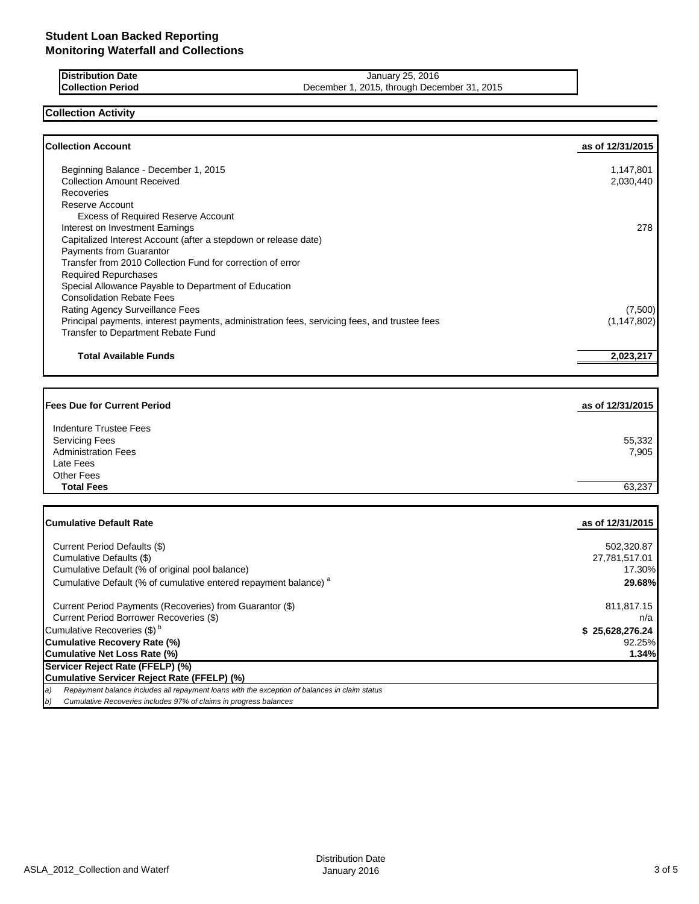| <b>IDistribution Date</b> | January 25, 2016                            |
|---------------------------|---------------------------------------------|
| <b>Collection Period</b>  | December 1, 2015, through December 31, 2015 |

## **Collection Activity**

| <b>Collection Account</b>                                                                                                                 | as of 12/31/2015 |
|-------------------------------------------------------------------------------------------------------------------------------------------|------------------|
|                                                                                                                                           |                  |
| Beginning Balance - December 1, 2015                                                                                                      | 1,147,801        |
| <b>Collection Amount Received</b>                                                                                                         | 2,030,440        |
| Recoveries                                                                                                                                |                  |
| Reserve Account                                                                                                                           |                  |
| <b>Excess of Required Reserve Account</b>                                                                                                 |                  |
| Interest on Investment Earnings                                                                                                           | 278              |
| Capitalized Interest Account (after a stepdown or release date)                                                                           |                  |
| Payments from Guarantor                                                                                                                   |                  |
| Transfer from 2010 Collection Fund for correction of error                                                                                |                  |
| <b>Required Repurchases</b>                                                                                                               |                  |
| Special Allowance Payable to Department of Education                                                                                      |                  |
| <b>Consolidation Rebate Fees</b>                                                                                                          |                  |
| Rating Agency Surveillance Fees                                                                                                           | (7,500)          |
| Principal payments, interest payments, administration fees, servicing fees, and trustee fees<br><b>Transfer to Department Rebate Fund</b> | (1, 147, 802)    |
|                                                                                                                                           |                  |
| <b>Total Available Funds</b>                                                                                                              | 2,023,217        |
|                                                                                                                                           |                  |
|                                                                                                                                           |                  |
|                                                                                                                                           |                  |
| <b>Fees Due for Current Period</b>                                                                                                        | as of 12/31/2015 |
|                                                                                                                                           |                  |
| Indenture Trustee Fees                                                                                                                    |                  |
| <b>Servicing Fees</b>                                                                                                                     | 55,332           |
| <b>Administration Fees</b>                                                                                                                | 7,905            |
| Late Fees                                                                                                                                 |                  |
| <b>Other Fees</b>                                                                                                                         |                  |
| <b>Total Fees</b>                                                                                                                         | 63,237           |
|                                                                                                                                           |                  |
| <b>Cumulative Default Rate</b>                                                                                                            | as of 12/31/2015 |
|                                                                                                                                           |                  |
| Current Period Defaults (\$)                                                                                                              | 502,320.87       |
| Cumulative Defaults (\$)                                                                                                                  | 27,781,517.01    |
| Cumulative Default (% of original pool balance)                                                                                           | 17.30%           |
| Cumulative Default (% of cumulative entered repayment balance) <sup>a</sup>                                                               | 29.68%           |
| Current Period Payments (Recoveries) from Guarantor (\$)                                                                                  | 811,817.15       |
| Current Period Borrower Recoveries (\$)                                                                                                   | n/a              |
| Cumulative Recoveries (\$) <sup>b</sup>                                                                                                   | \$25,628,276.24  |
| <b>Cumulative Recovery Rate (%)</b>                                                                                                       | 92.25%           |
| Cumulative Net Loss Rate (%)                                                                                                              | 1.34%            |
| Servicer Reject Rate (FFELP) (%)                                                                                                          |                  |
| Cumulative Servicer Reject Rate (FFELP) (%)                                                                                               |                  |
| Repayment balance includes all repayment loans with the exception of balances in claim status<br>a)                                       |                  |
| Cumulative Recoveries includes 97% of claims in progress balances<br>b)                                                                   |                  |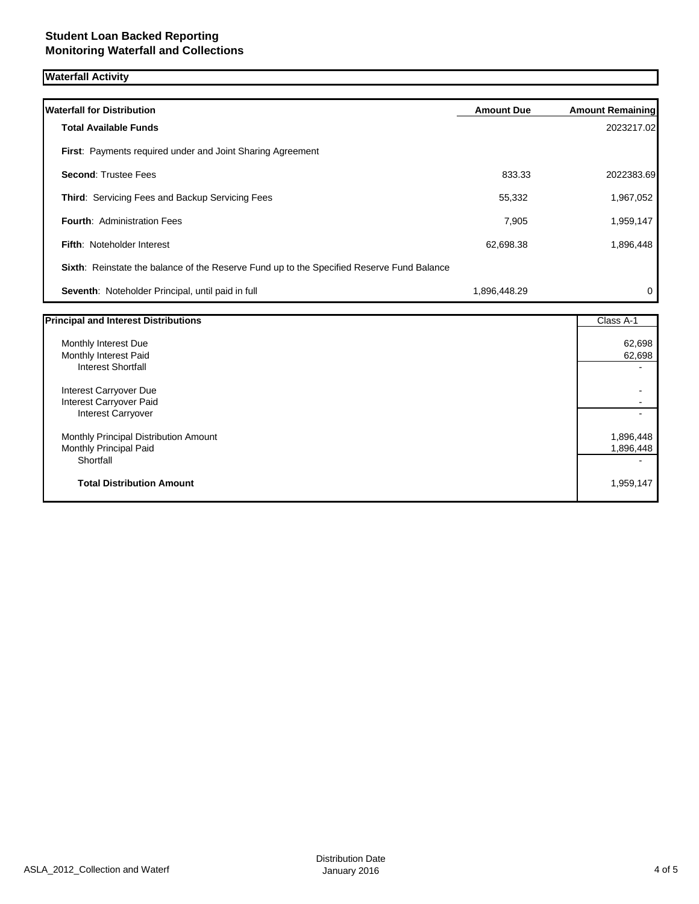# **Waterfall Activity**

| <b>Waterfall for Distribution</b>                                                                | <b>Amount Due</b> | <b>Amount Remaining</b> |
|--------------------------------------------------------------------------------------------------|-------------------|-------------------------|
| <b>Total Available Funds</b>                                                                     |                   | 2023217.02              |
| <b>First:</b> Payments required under and Joint Sharing Agreement                                |                   |                         |
| <b>Second: Trustee Fees</b>                                                                      | 833.33            | 2022383.69              |
| <b>Third: Servicing Fees and Backup Servicing Fees</b>                                           | 55,332            | 1,967,052               |
| <b>Fourth: Administration Fees</b>                                                               | 7,905             | 1,959,147               |
| <b>Fifth: Noteholder Interest</b>                                                                | 62,698.38         | 1,896,448               |
| <b>Sixth:</b> Reinstate the balance of the Reserve Fund up to the Specified Reserve Fund Balance |                   |                         |
| Seventh: Noteholder Principal, until paid in full                                                | 1,896,448.29      | 0                       |

| <b>Principal and Interest Distributions</b> | Class A-1                |
|---------------------------------------------|--------------------------|
| Monthly Interest Due                        | 62,698                   |
| Monthly Interest Paid                       | 62,698                   |
| <b>Interest Shortfall</b>                   | $\blacksquare$           |
| Interest Carryover Due                      |                          |
| Interest Carryover Paid                     |                          |
| <b>Interest Carryover</b>                   | $\overline{\phantom{0}}$ |
| Monthly Principal Distribution Amount       | 1,896,448                |
| Monthly Principal Paid                      | 1,896,448                |
| Shortfall                                   |                          |
| <b>Total Distribution Amount</b>            | 1,959,147                |